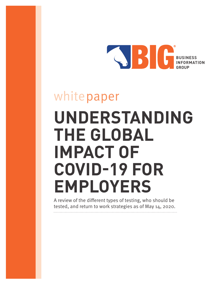

# whitepaper **UNDERSTANDING THE GLOBAL IMPACT OF COVID-19 FOR EMPLOYERS**

A review of the different types of testing, who should be tested, and return to work strategies as of May 14, 2020.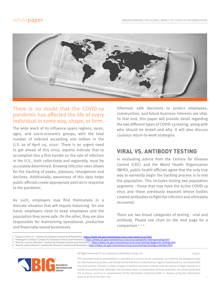#### whitepaper



#### There is no doubt that the COVID-19 pandemic has affected the life of every individual in some way, shape, or form.

The wide reach of its influence spans regions, races, ages, and socio-economic groups, with the total number of infected exceeding one million in the U.S. as of April 29, 2020<sup>1</sup>. There is an urgent need to get ahead of this virus; experts indicate that to accomplish this a firm handle on the rate of infection in the U.S., both collectively and regionally, must be accurately determined. Knowing infection rates allows for the tracking of peaks, plateaus, resurgences and declines. Additionally, awareness of this data helps public officials create appropriate policies in response to the pandemic.

As such, employers may find themselves in a delicate situation that will require balancing. On one hand, employers need to keep employees and the population they serve safe. On the other, they are also responsible for maintaining operational, productive and financially-sound businesses.

Informed, safe decisions to protect employees, communities, and future business interests are vital. To that end, this paper will provide detail regarding the two different types of COVID-19 testing, along with who should be tested and why. It will also discuss cautious return-to-work strategies.

# **VIRAL VS. ANTIBODY TESTING**

In evaluating advice from the Centers for Disease Control (CDC) and the World Health Organization (WHO), public health officials agree that the only true way to earnestly begin the tracking process is to test the population. This includes testing two population segments - those that may have the active COVID-19 virus and those previously exposed whose bodies created antibodies to fight the infection and ultimately recovered.

There are two broad categories of testing - viral and antibody. Please see chart on the next page for a comparison.<sup>2, 3, 4</sup>



All Rights Reserved © 2020 Business Information Group, Inc. 051520 051520

This document and/or presentation is provided as a service to our customers. Its contents are designed solely for informational purposes, and should not be inferred or understood as legal or medical advice, nor shared with any third parties. Persons in need of legal or medical assistance should seek the advice of legal counsel or a healthcare professional. Although care has been taken in preparation of these materials, we cannot guarantee the accuracy, currency or completeness of the information contained within it. Anyone using this information does so at his or her own risk. 1

<sup>1</sup> "Cases in the U.S." Centers for Disease Control and Prevention, https://www.cdc.gov/coronavirus/2019-ncov/cases-in-us.html

<sup>2 &</sup>quot;Testing for Covid19" Centers for Disease Control and Prevention, https://www.cdc.gov/coronavirus/2019-ncov/symptoms-testing/testing.html

<sup>3 &</sup>quot;Test for current infection" Centers for Disease Control and Prevention, https://www.cdc.gov/coronavirus/2019-ncov/testing/diagnostic-testing.html 4 "Test for past infection" Centers for Disease Control and Prevention, https://www.cdc.gov/coronavirus/2019-ncov/testing/serology-overview.html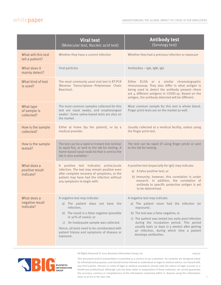|                                             | <b>Viral test</b><br>(Molecular test, Nucleic acid test)                                                                                                                                                                                                                                                     | <b>Antibody test</b><br>(Serology test)                                                                                                                                                                                                                                                                                                                      |
|---------------------------------------------|--------------------------------------------------------------------------------------------------------------------------------------------------------------------------------------------------------------------------------------------------------------------------------------------------------------|--------------------------------------------------------------------------------------------------------------------------------------------------------------------------------------------------------------------------------------------------------------------------------------------------------------------------------------------------------------|
| What will this test<br>tell a patient?      | Whether they have a current infection                                                                                                                                                                                                                                                                        | Whether they had a previous infection or exposure                                                                                                                                                                                                                                                                                                            |
| What does it<br>mainly detect?              | Viral particles                                                                                                                                                                                                                                                                                              | Antibodies - IgA, IgM, IgG                                                                                                                                                                                                                                                                                                                                   |
| What kind of test<br>is used?               | The most commonly used viral test is RT-PCR<br>(Reverse Transcriptase-Polymerase Chain<br>Reaction).                                                                                                                                                                                                         | Either ELISA or a similar chromatographic<br>immunoassay. They also differ in what antigen is<br>being used to detect the antibody present-there<br>are 4 different antigens in COVID-19. Based on the<br>antigen, the antibody detected will be different.                                                                                                  |
| What type<br>of sample is<br>collected?     | The most common samples collected for this<br>test are nasal swabs, and oropharyngeal<br>swabs <sup>3</sup> . Some saliva-based tests are also on<br>the market.                                                                                                                                             | Most common sample for this test is whole blood.<br>Finger prick tests are on the market as well.                                                                                                                                                                                                                                                            |
| How is the sample<br>collected?             | Either at home (by the patient), or by a<br>medical provider.                                                                                                                                                                                                                                                | Usually collected at a medical facility, unless using<br>the finger prick test.                                                                                                                                                                                                                                                                              |
| How is the sample<br>tested?                | The test can be a rapid or instant test (similar<br>to rapid flu), or sent to the lab for testing. A<br>home based nasal swab kit that is sent to the<br>lab is also available. <sup>4</sup>                                                                                                                 | The test can be rapid (if using finger prick) or sent<br>to the lab for testing.                                                                                                                                                                                                                                                                             |
| What does a<br>positive result<br>indicate? | A positive test indicates active/acute<br>infection. The test may remain positive even<br>after complete recovery of symptoms, or the<br>patient may have had the infection without<br>any symptoms to begin with.                                                                                           | A positive test (especially for IgG) may indicate:<br>a) A false positive test; or<br>b) Immunity; however, this correlation is under<br>research. In addition, the correlation of<br>antibody to specific protective antigen is yet<br>to be determined.                                                                                                    |
| What does a<br>negative result<br>indicate? | A negative test may indicate:<br>a) The patient does not have the<br>infection;<br>b) The result is a false negative (possible<br>in 30% of cases); or<br>c) An inadequate sample was collected.<br>Hence, all tests need to be corroborated with<br>patient history and symptoms of disease or<br>exposure. | A negative test may indicate:<br>a) The patient never had the infection (or<br>exposure);<br>b) The test was a false negative; or<br>c) The patient was tested too early post-infection<br>during the incubation period. This period<br>usually lasts 10 days (1-3 weeks) after getting<br>an infection, during which time a patient<br>develops antibodies. |

All Rights Reserved © 2020 Business Information Group, Inc. 051520 051520



This document and/or presentation is provided as a service to our customers. Its contents are designed solely for informational purposes, and should not be inferred or understood as legal or medical advice, nor shared with any third parties. Persons in need of legal or medical assistance should seek the advice of legal counsel or a healthcare professional. Although care has been taken in preparation of these materials, we cannot guarantee the accuracy, currency or completeness of the information contained within it. Anyone using this information does so at his or her own risk. 2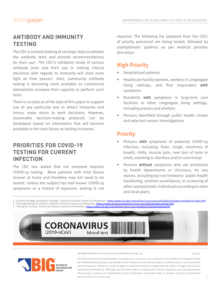## **ANTIBODY AND IMMUNITY TESTING**

The CDC is actively looking at serologic data to validate the antibody tests and provide recommendations for their use<sup>5</sup>. The CDC's validation study of various antibody tests and their use in making clinical decisions with regards to immunity will shed more light as time passes<sup>6</sup>. Also, community antibody testing is becoming more available as commercial laboratories increase their capacity to perform such tests.

There is no data as of the date of this paper to support use of any particular test to detect immunity and hence, make return to work decisions. However, reasonable decision-making protocols can be developed based on information that will become available in the near future as testing increases.

## **PRIORITIES FOR COVID-19 TESTING FOR CURRENT INFECTION**

The CDC has stated that not everyone requires COVID-19 testing. Most patients with mild illness recover at home and therefore may not need to be tested7 . Unless the subject has had known COVID-19 symptoms or a history of exposure, testing is not

required. The following list (adapted from the CDC) of priority personnel are being tested, followed by asymptomatic patients as per medical provider discretion.

# **High Priority**

- Hospitalized patients
- Healthcare facility workers, workers in congregate living settings, and first responders **with** symptoms
- Residents **with** symptoms in long-term care facilities or other congregate living settings, including prisons and shelters
- Persons identified through public health cluster and selected contact investigations

#### **Priority**

- Persons **with** symptoms of potential COVID-19 infection, including: fever, cough, shortness of breath, chills, muscle pain, new loss of taste or smell, vomiting or diarrhea and/or sore throat
- Persons **without** symptoms who are prioritized by health departments or clinicians, for any reason, including but not limited to: public health monitoring, sentinel surveillance, or screening of other asymptomatic individuals according to state and local plans.

<sup>7 &</sup>quot;Testing for Covid19" Centers for Disease Control and Prevention, https://www.cdc.gov/coronavirus/2019-ncov/symptoms-testing/testing.html





All Rights Reserved © 2020 Business Information Group, Inc. 051520

This document and/or presentation is provided as a service to our customers. Its contents are designed solely for informational purposes, and should not be inferred or understood as legal or medical advice, nor shared with any third parties. Persons in need of legal or medical assistance should seek the advice of legal counsel or a healthcare professional. Although care has been taken in preparation of these materials, we cannot guarantee the accuracy, currency or completeness of the information contained within it. Anyone using this information does so at his or her own risk.  $\overline{3}$ 

<sup>5 &</sup>quot;Covid19 serology surveillance strategy" Centers for Disease Control and Prevention, https://www.cdc.gov/coronavirus/2019-ncov/covid-data/serology-surveillance/index.html 6 "Serology testing for Covid19" Centers for Disease Control and Prevention, https://www.cdc.gov/coronavirus/2019-ncov/lab/serology-testing.html